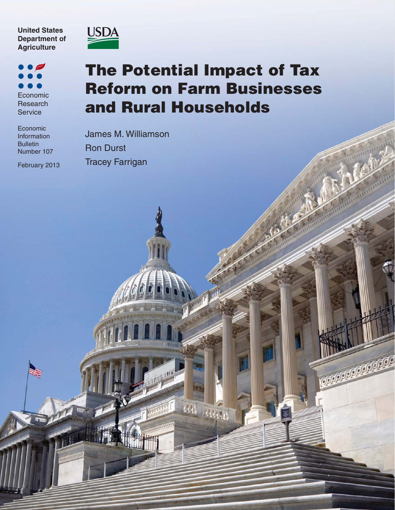**United States Department of Agriculture**

Economic Research **Service** 

Economic Information Bulletin Number 107

February 2013



## **The Potential Impact of Tax Reform on Farm Businesses and Rural Households**

an ann

**CONTROL CONTROL** 

James M. Williamson Ron Durst Tracey Farrigan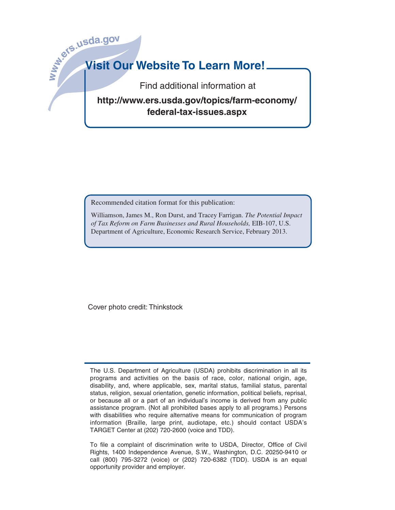# **Wish**<br>State of the Missil Order **Visit Our Website To Learn More!**

Find additional information at

**http://www.ers.usda.gov/topics/farm-economy/ federal-tax-issues.aspx**

Recommended citation format for this publication:

Williamson, James M., Ron Durst, and Tracey Farrigan. *The Potential Impact of Tax Reform on Farm Businesses and Rural Households,* EIB-107, U.S. Department of Agriculture, Economic Research Service, February 2013.

Cover photo credit: Thinkstock

The U.S. Department of Agriculture (USDA) prohibits discrimination in all its programs and activities on the basis of race, color, national origin, age, disability, and, where applicable, sex, marital status, familial status, parental status, religion, sexual orientation, genetic information, political beliefs, reprisal, or because all or a part of an individual's income is derived from any public assistance program. (Not all prohibited bases apply to all programs.) Persons with disabilities who require alternative means for communication of program information (Braille, large print, audiotape, etc.) should contact USDA's TARGET Center at (202) 720-2600 (voice and TDD).

To file a complaint of discrimination write to USDA, Director, Office of Civil Rights, 1400 Independence Avenue, S.W., Washington, D.C. 20250-9410 or call (800) 795-3272 (voice) or (202) 720-6382 (TDD). USDA is an equal opportunity provider and employer.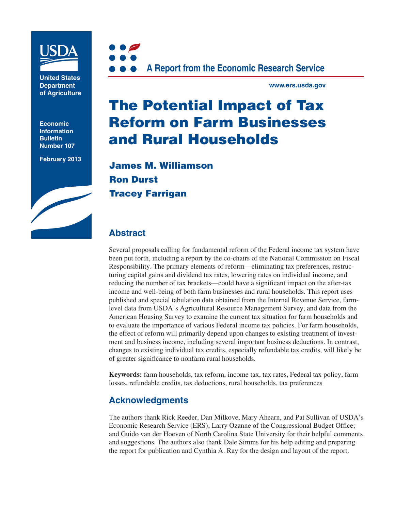

**United States Department of Agriculture**

**Economic Information Bulletin Number 107**

**February 2013**





**www.ers.usda.gov**

## **The Potential Impact of Tax Reform on Farm Businesses and Rural Households**

**James M. Williamson Ron Durst Tracey Farrigan**

## **Abstract**

Several proposals calling for fundamental reform of the Federal income tax system have been put forth, including a report by the co-chairs of the National Commission on Fiscal Responsibility. The primary elements of reform—eliminating tax preferences, restructuring capital gains and dividend tax rates, lowering rates on individual income, and reducing the number of tax brackets—could have a significant impact on the after-tax income and well-being of both farm businesses and rural households. This report uses published and special tabulation data obtained from the Internal Revenue Service, farmlevel data from USDA's Agricultural Resource Management Survey, and data from the American Housing Survey to examine the current tax situation for farm households and to evaluate the importance of various Federal income tax policies. For farm households, the effect of reform will primarily depend upon changes to existing treatment of investment and business income, including several important business deductions. In contrast, changes to existing individual tax credits, especially refundable tax credits, will likely be of greater significance to nonfarm rural households.

**Keywords:** farm households, tax reform, income tax, tax rates, Federal tax policy, farm losses, refundable credits, tax deductions, rural households, tax preferences

## **Acknowledgments**

The authors thank Rick Reeder, Dan Milkove, Mary Ahearn, and Pat Sullivan of USDA's Economic Research Service (ERS); Larry Ozanne of the Congressional Budget Office; and Guido van der Hoeven of North Carolina State University for their helpful comments and suggestions. The authors also thank Dale Simms for his help editing and preparing the report for publication and Cynthia A. Ray for the design and layout of the report.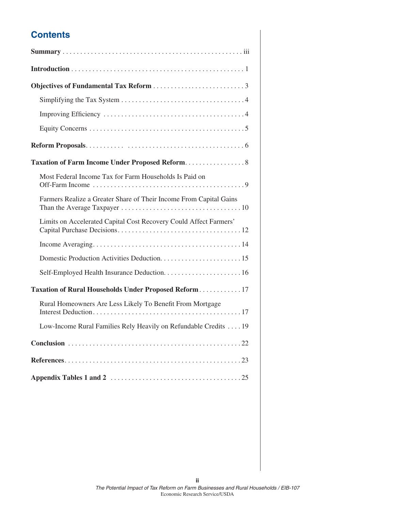## **Contents**

| Taxation of Farm Income Under Proposed Reform. 8                   |
|--------------------------------------------------------------------|
| Most Federal Income Tax for Farm Households Is Paid on             |
| Farmers Realize a Greater Share of Their Income From Capital Gains |
| Limits on Accelerated Capital Cost Recovery Could Affect Farmers'  |
|                                                                    |
|                                                                    |
|                                                                    |
| Taxation of Rural Households Under Proposed Reform 17              |
| Rural Homeowners Are Less Likely To Benefit From Mortgage          |
| Low-Income Rural Families Rely Heavily on Refundable Credits 19    |
|                                                                    |
|                                                                    |
|                                                                    |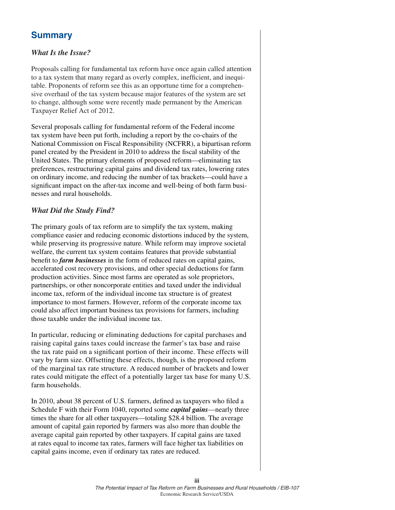## **Summary**

#### *What Is the Issue?*

Proposals calling for fundamental tax reform have once again called attention to a tax system that many regard as overly complex, inefficient, and inequitable. Proponents of reform see this as an opportune time for a comprehensive overhaul of the tax system because major features of the system are set to change, although some were recently made permanent by the American Taxpayer Relief Act of 2012.

Several proposals calling for fundamental reform of the Federal income tax system have been put forth, including a report by the co-chairs of the National Commission on Fiscal Responsibility (NCFRR), a bipartisan reform panel created by the President in 2010 to address the fiscal stability of the United States. The primary elements of proposed reform—eliminating tax preferences, restructuring capital gains and dividend tax rates, lowering rates on ordinary income, and reducing the number of tax brackets—could have a significant impact on the after-tax income and well-being of both farm businesses and rural households.

### *What Did the Study Find?*

The primary goals of tax reform are to simplify the tax system, making compliance easier and reducing economic distortions induced by the system, while preserving its progressive nature. While reform may improve societal welfare, the current tax system contains features that provide substantial benefit to *farm businesses* in the form of reduced rates on capital gains, accelerated cost recovery provisions, and other special deductions for farm production activities. Since most farms are operated as sole proprietors, partnerships, or other noncorporate entities and taxed under the individual income tax, reform of the individual income tax structure is of greatest importance to most farmers. However, reform of the corporate income tax could also affect important business tax provisions for farmers, including those taxable under the individual income tax.

In particular, reducing or eliminating deductions for capital purchases and raising capital gains taxes could increase the farmer's tax base and raise the tax rate paid on a significant portion of their income. These effects will vary by farm size. Offsetting these effects, though, is the proposed reform of the marginal tax rate structure. A reduced number of brackets and lower rates could mitigate the effect of a potentially larger tax base for many U.S. farm households.

In 2010, about 38 percent of U.S. farmers, defined as taxpayers who filed a Schedule F with their Form 1040, reported some *capital gains*—nearly three times the share for all other taxpayers—totaling \$28.4 billion. The average amount of capital gain reported by farmers was also more than double the average capital gain reported by other taxpayers. If capital gains are taxed at rates equal to income tax rates, farmers will face higher tax liabilities on capital gains income, even if ordinary tax rates are reduced.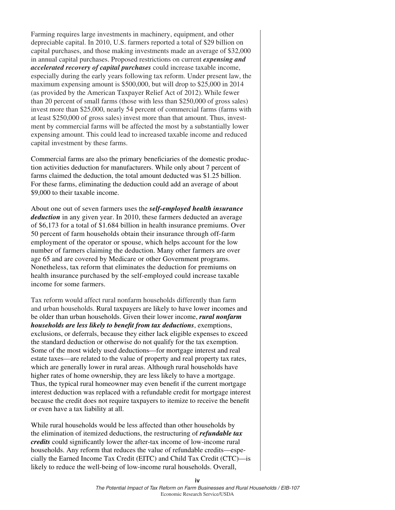Farming requires large investments in machinery, equipment, and other depreciable capital. In 2010, U.S. farmers reported a total of \$29 billion on capital purchases, and those making investments made an average of \$32,000 in annual capital purchases. Proposed restrictions on current *expensing and accelerated recovery of capital purchases* could increase taxable income, especially during the early years following tax reform. Under present law, the maximum expensing amount is \$500,000, but will drop to \$25,000 in 2014 (as provided by the American Taxpayer Relief Act of 2012). While fewer than 20 percent of small farms (those with less than \$250,000 of gross sales) invest more than \$25,000, nearly 54 percent of commercial farms (farms with at least \$250,000 of gross sales) invest more than that amount. Thus, investment by commercial farms will be affected the most by a substantially lower expensing amount. This could lead to increased taxable income and reduced capital investment by these farms.

Commercial farms are also the primary beneficiaries of the domestic production activities deduction for manufacturers. While only about 7 percent of farms claimed the deduction, the total amount deducted was \$1.25 billion. For these farms, eliminating the deduction could add an average of about \$9,000 to their taxable income.

About one out of seven farmers uses the *self-employed health insurance deduction* in any given year. In 2010, these farmers deducted an average of \$6,173 for a total of \$1.684 billion in health insurance premiums. Over 50 percent of farm households obtain their insurance through off-farm employment of the operator or spouse, which helps account for the low number of farmers claiming the deduction. Many other farmers are over age 65 and are covered by Medicare or other Government programs. Nonetheless, tax reform that eliminates the deduction for premiums on health insurance purchased by the self-employed could increase taxable income for some farmers.

Tax reform would affect rural nonfarm households differently than farm and urban households. Rural taxpayers are likely to have lower incomes and be older than urban households. Given their lower income, *rural nonfarm households are less likely to benefit from tax deductions, exemptions,* exclusions, or deferrals, because they either lack eligible expenses to exceed the standard deduction or otherwise do not qualify for the tax exemption. Some of the most widely used deductions—for mortgage interest and real estate taxes—are related to the value of property and real property tax rates, which are generally lower in rural areas. Although rural households have higher rates of home ownership, they are less likely to have a mortgage. Thus, the typical rural homeowner may even benefit if the current mortgage interest deduction was replaced with a refundable credit for mortgage interest because the credit does not require taxpayers to itemize to receive the benefit or even have a tax liability at all.

While rural households would be less affected than other households by the elimination of itemized deductions, the restructuring of *refundable tax credits* could significantly lower the after-tax income of low-income rural households. Any reform that reduces the value of refundable credits—especially the Earned Income Tax Credit (EITC) and Child Tax Credit (CTC)—is likely to reduce the well-being of low-income rural households. Overall,

**iv**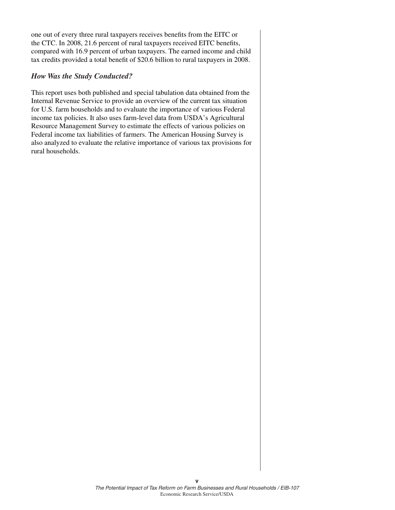one out of every three rural taxpayers receives benefits from the EITC or the CTC. In 2008, 21.6 percent of rural taxpayers received EITC benefits, compared with 16.9 percent of urban taxpayers. The earned income and child tax credits provided a total benefit of \$20.6 billion to rural taxpayers in 2008.

#### *How Was the Study Conducted?*

This report uses both published and special tabulation data obtained from the Internal Revenue Service to provide an overview of the current tax situation for U.S. farm households and to evaluate the importance of various Federal income tax policies. It also uses farm-level data from USDA's Agricultural Resource Management Survey to estimate the effects of various policies on Federal income tax liabilities of farmers. The American Housing Survey is also analyzed to evaluate the relative importance of various tax provisions for rural households.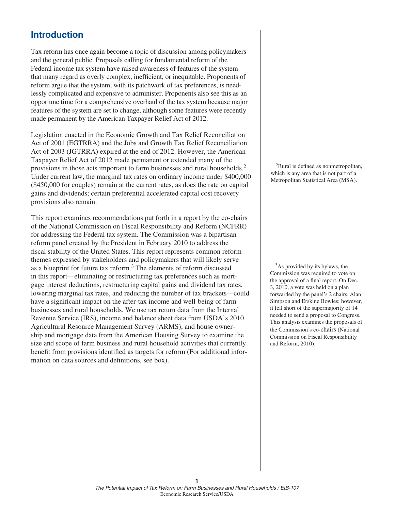## **Introduction**

Tax reform has once again become a topic of discussion among policymakers and the general public. Proposals calling for fundamental reform of the Federal income tax system have raised awareness of features of the system that many regard as overly complex, inefficient, or inequitable. Proponents of reform argue that the system, with its patchwork of tax preferences, is needlessly complicated and expensive to administer. Proponents also see this as an opportune time for a comprehensive overhaul of the tax system because major features of the system are set to change, although some features were recently made permanent by the American Taxpayer Relief Act of 2012.

Legislation enacted in the Economic Growth and Tax Relief Reconciliation Act of 2001 (EGTRRA) and the Jobs and Growth Tax Relief Reconciliation Act of 2003 (JGTRRA) expired at the end of 2012. However, the American Taxpayer Relief Act of 2012 made permanent or extended many of the provisions in those acts important to farm businesses and rural households.<sup>2</sup> Under current law, the marginal tax rates on ordinary income under \$400,000 (\$450,000 for couples) remain at the current rates, as does the rate on capital gains and dividends; certain preferential accelerated capital cost recovery provisions also remain.

This report examines recommendations put forth in a report by the co-chairs of the National Commission on Fiscal Responsibility and Reform (NCFRR) for addressing the Federal tax system. The Commission was a bipartisan reform panel created by the President in February 2010 to address the fiscal stability of the United States. This report represents common reform themes expressed by stakeholders and policymakers that will likely serve as a blueprint for future tax reform.3 The elements of reform discussed in this report—eliminating or restructuring tax preferences such as mortgage interest deductions, restructuring capital gains and dividend tax rates, lowering marginal tax rates, and reducing the number of tax brackets—could have a significant impact on the after-tax income and well-being of farm businesses and rural households. We use tax return data from the Internal Revenue Service (IRS), income and balance sheet data from USDA's 2010 Agricultural Resource Management Survey (ARMS), and house ownership and mortgage data from the American Housing Survey to examine the size and scope of farm business and rural household activities that currently benefit from provisions identified as targets for reform (For additional information on data sources and definitions, see box).

 ${}^{2}$ Rural is defined as nonmetropolitan, which is any area that is not part of a Metropolitan Statistical Area (MSA).

<sup>3</sup>As provided by its bylaws, the Commission was required to vote on the approval of a final report. On Dec. 3, 2010, a vote was held on a plan forwarded by the panel's 2 chairs, Alan Simpson and Erskine Bowles; however, it fell short of the supermajority of 14 needed to send a proposal to Congress. This analysis examines the proposals of the Commission's co-chairs (National Commission on Fiscal Responsibility and Reform, 2010).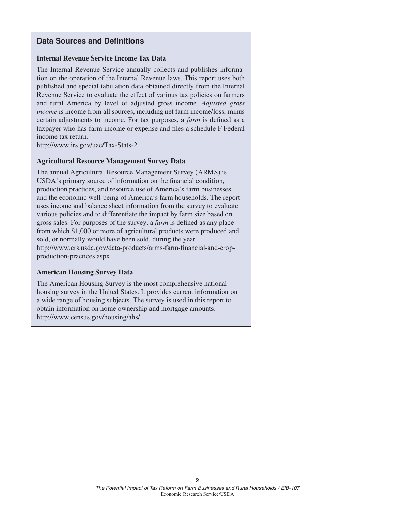#### **Data Sources and Definitions**

#### **Internal Revenue Service Income Tax Data**

The Internal Revenue Service annually collects and publishes information on the operation of the Internal Revenue laws. This report uses both published and special tabulation data obtained directly from the Internal Revenue Service to evaluate the effect of various tax policies on farmers and rural America by level of adjusted gross income. *Adjusted gross income* is income from all sources, including net farm income/loss, minus certain adjustments to income. For tax purposes, a *farm* is defined as a taxpayer who has farm income or expense and files a schedule F Federal income tax return.

http://www.irs.gov/uac/Tax-Stats-2

#### **Agricultural Resource Management Survey Data**

The annual Agricultural Resource Management Survey (ARMS) is USDA's primary source of information on the financial condition, production practices, and resource use of America's farm businesses and the economic well-being of America's farm households. The report uses income and balance sheet information from the survey to evaluate various policies and to differentiate the impact by farm size based on gross sales. For purposes of the survey, a *farm* is defined as any place from which \$1,000 or more of agricultural products were produced and sold, or normally would have been sold, during the year. http://www.ers.usda.gov/data-products/arms-farm-financial-and-cropproduction-practices.aspx

#### **American Housing Survey Data**

The American Housing Survey is the most comprehensive national housing survey in the United States. It provides current information on a wide range of housing subjects. The survey is used in this report to obtain information on home ownership and mortgage amounts. http://www.census.gov/housing/ahs/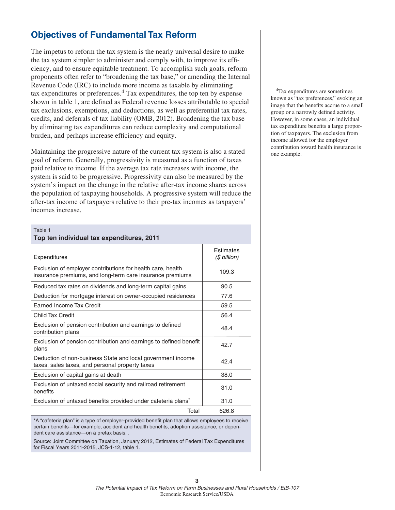## **Objectives of Fundamental Tax Reform**

The impetus to reform the tax system is the nearly universal desire to make the tax system simpler to administer and comply with, to improve its efficiency, and to ensure equitable treatment. To accomplish such goals, reform proponents often refer to "broadening the tax base," or amending the Internal Revenue Code (IRC) to include more income as taxable by eliminating tax expenditures or preferences.<sup>4</sup> Tax expenditures, the top ten by expense shown in table 1, are defined as Federal revenue losses attributable to special tax exclusions, exemptions, and deductions, as well as preferential tax rates, credits, and deferrals of tax liability (OMB, 2012). Broadening the tax base by eliminating tax expenditures can reduce complexity and computational burden, and perhaps increase efficiency and equity.

Maintaining the progressive nature of the current tax system is also a stated goal of reform. Generally, progressivity is measured as a function of taxes paid relative to income. If the average tax rate increases with income, the system is said to be progressive. Progressivity can also be measured by the system's impact on the change in the relative after-tax income shares across the population of taxpaying households. A progressive system will reduce the after-tax income of taxpayers relative to their pre-tax incomes as taxpayers' incomes increase.

#### Table 1

| Top ten individual tax expenditures, 2011                                                                                |                           |  |  |  |
|--------------------------------------------------------------------------------------------------------------------------|---------------------------|--|--|--|
| Expenditures                                                                                                             | Estimates<br>(\$ billion) |  |  |  |
| Exclusion of employer contributions for health care, health<br>insurance premiums, and long-term care insurance premiums | 109.3                     |  |  |  |
| Reduced tax rates on dividends and long-term capital gains                                                               | 90.5                      |  |  |  |
| Deduction for mortgage interest on owner-occupied residences                                                             | 77.6                      |  |  |  |
| Earned Income Tax Credit                                                                                                 | 59.5                      |  |  |  |
| Child Tax Credit                                                                                                         | 56.4                      |  |  |  |
| Exclusion of pension contribution and earnings to defined<br>contribution plans                                          | 48.4                      |  |  |  |
| Exclusion of pension contribution and earnings to defined benefit<br>plans                                               | 42.7                      |  |  |  |
| Deduction of non-business State and local government income<br>taxes, sales taxes, and personal property taxes           | 42.4                      |  |  |  |
| Exclusion of capital gains at death                                                                                      | 38.0                      |  |  |  |
| Exclusion of untaxed social security and railroad retirement<br>benefits                                                 | 31.0                      |  |  |  |
| Exclusion of untaxed benefits provided under cafeteria plans <sup>*</sup>                                                | 31.0                      |  |  |  |
| Total                                                                                                                    | 626.8                     |  |  |  |

\*A "cafeteria plan" is a type of employer-provided benefi t plan that allows employees to receive certain benefits—for example, accident and health benefits, adoption assistance, or dependent care assistance—on a pretax basis, .

Source: Joint Committee on Taxation, January 2012, Estimates of Federal Tax Expenditures for Fiscal Years 2011-2015, JCS-1-12, table 1.

4Tax expenditures are sometimes known as "tax preferences," evoking an image that the benefits accrue to a small group or a narrowly defined activity. However, in some cases, an individual tax expenditure benefits a large proportion of taxpayers. The exclusion from income allowed for the employer contribution toward health insurance is one example.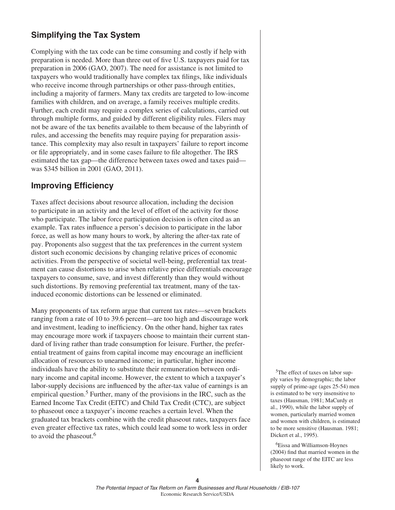## **Simplifying the Tax System**

Complying with the tax code can be time consuming and costly if help with preparation is needed. More than three out of five U.S. taxpayers paid for tax preparation in 2006 (GAO, 2007). The need for assistance is not limited to taxpayers who would traditionally have complex tax filings, like individuals who receive income through partnerships or other pass-through entities, including a majority of farmers. Many tax credits are targeted to low-income families with children, and on average, a family receives multiple credits. Further, each credit may require a complex series of calculations, carried out through multiple forms, and guided by different eligibility rules. Filers may not be aware of the tax benefits available to them because of the labyrinth of rules, and accessing the benefits may require paying for preparation assistance. This complexity may also result in taxpayers' failure to report income or file appropriately, and in some cases failure to file altogether. The IRS estimated the tax gap—the difference between taxes owed and taxes paid was \$345 billion in 2001 (GAO, 2011).

## **Improving Efficiency**

Taxes affect decisions about resource allocation, including the decision to participate in an activity and the level of effort of the activity for those who participate. The labor force participation decision is often cited as an example. Tax rates influence a person's decision to participate in the labor force, as well as how many hours to work, by altering the after-tax rate of pay. Proponents also suggest that the tax preferences in the current system distort such economic decisions by changing relative prices of economic activities. From the perspective of societal well-being, preferential tax treatment can cause distortions to arise when relative price differentials encourage taxpayers to consume, save, and invest differently than they would without such distortions. By removing preferential tax treatment, many of the taxinduced economic distortions can be lessened or eliminated.

Many proponents of tax reform argue that current tax rates—seven brackets ranging from a rate of 10 to 39.6 percent—are too high and discourage work and investment, leading to inefficiency. On the other hand, higher tax rates may encourage more work if taxpayers choose to maintain their current standard of living rather than trade consumption for leisure. Further, the preferential treatment of gains from capital income may encourage an inefficient allocation of resources to unearned income; in particular, higher income individuals have the ability to substitute their remuneration between ordinary income and capital income. However, the extent to which a taxpayer's labor-supply decisions are influenced by the after-tax value of earnings is an empirical question.<sup>5</sup> Further, many of the provisions in the IRC, such as the Earned Income Tax Credit (EITC) and Child Tax Credit (CTC), are subject to phaseout once a taxpayer's income reaches a certain level. When the graduated tax brackets combine with the credit phaseout rates, taxpayers face even greater effective tax rates, which could lead some to work less in order to avoid the phaseout.<sup>6</sup>

5The effect of taxes on labor supply varies by demographic; the labor supply of prime-age (ages 25-54) men is estimated to be very insensitive to taxes (Hausman, 1981; MaCurdy et al., 1990), while the labor supply of women, particularly married women and women with children, is estimated to be more sensitive (Hausman. 1981; Dickert et al., 1995).

6Eissa and Williamson-Hoynes  $(2004)$  find that married women in the phaseout range of the EITC are less likely to work.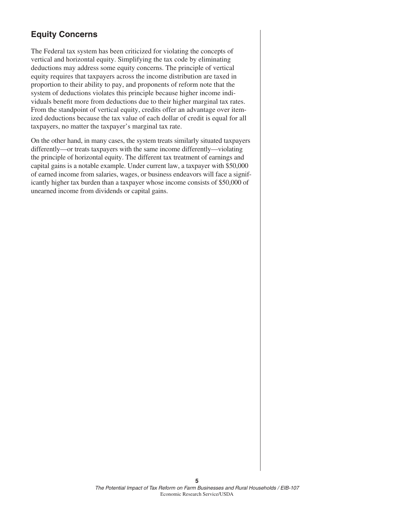## **Equity Concerns**

The Federal tax system has been criticized for violating the concepts of vertical and horizontal equity. Simplifying the tax code by eliminating deductions may address some equity concerns. The principle of vertical equity requires that taxpayers across the income distribution are taxed in proportion to their ability to pay, and proponents of reform note that the system of deductions violates this principle because higher income individuals benefit more from deductions due to their higher marginal tax rates. From the standpoint of vertical equity, credits offer an advantage over itemized deductions because the tax value of each dollar of credit is equal for all taxpayers, no matter the taxpayer's marginal tax rate.

On the other hand, in many cases, the system treats similarly situated taxpayers differently—or treats taxpayers with the same income differently—violating the principle of horizontal equity. The different tax treatment of earnings and capital gains is a notable example. Under current law, a taxpayer with \$50,000 of earned income from salaries, wages, or business endeavors will face a significantly higher tax burden than a taxpayer whose income consists of \$50,000 of unearned income from dividends or capital gains.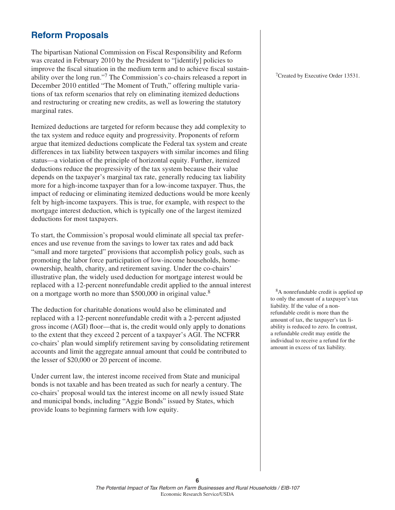## **Reform Proposals**

The bipartisan National Commission on Fiscal Responsibility and Reform was created in February 2010 by the President to "[identify] policies to improve the fiscal situation in the medium term and to achieve fiscal sustainability over the long run."7 The Commission's co-chairs released a report in December 2010 entitled "The Moment of Truth," offering multiple variations of tax reform scenarios that rely on eliminating itemized deductions and restructuring or creating new credits, as well as lowering the statutory marginal rates.

Itemized deductions are targeted for reform because they add complexity to the tax system and reduce equity and progressivity. Proponents of reform argue that itemized deductions complicate the Federal tax system and create differences in tax liability between taxpayers with similar incomes and filing status—a violation of the principle of horizontal equity. Further, itemized deductions reduce the progressivity of the tax system because their value depends on the taxpayer's marginal tax rate, generally reducing tax liability more for a high-income taxpayer than for a low-income taxpayer. Thus, the impact of reducing or eliminating itemized deductions would be more keenly felt by high-income taxpayers. This is true, for example, with respect to the mortgage interest deduction, which is typically one of the largest itemized deductions for most taxpayers.

To start, the Commission's proposal would eliminate all special tax preferences and use revenue from the savings to lower tax rates and add back "small and more targeted" provisions that accomplish policy goals, such as promoting the labor force participation of low-income households, homeownership, health, charity, and retirement saving. Under the co-chairs' illustrative plan, the widely used deduction for mortgage interest would be replaced with a 12-percent nonrefundable credit applied to the annual interest on a mortgage worth no more than \$500,000 in original value.<sup>8</sup>

The deduction for charitable donations would also be eliminated and replaced with a 12-percent nonrefundable credit with a 2-percent adjusted gross income (AGI) floor—that is, the credit would only apply to donations to the extent that they exceed 2 percent of a taxpayer's AGI. The NCFRR co-chairs' plan would simplify retirement saving by consolidating retirement accounts and limit the aggregate annual amount that could be contributed to the lesser of \$20,000 or 20 percent of income.

Under current law, the interest income received from State and municipal bonds is not taxable and has been treated as such for nearly a century. The co-chairs' proposal would tax the interest income on all newly issued State and municipal bonds, including "Aggie Bonds" issued by States, which provide loans to beginning farmers with low equity.

<sup>7</sup>Created by Executive Order 13531.

8A nonrefundable credit is applied up to only the amount of a taxpayer's tax liability. If the value of a nonrefundable credit is more than the amount of tax, the taxpayer's tax liability is reduced to zero. In contrast, a refundable credit may entitle the individual to receive a refund for the amount in excess of tax liability.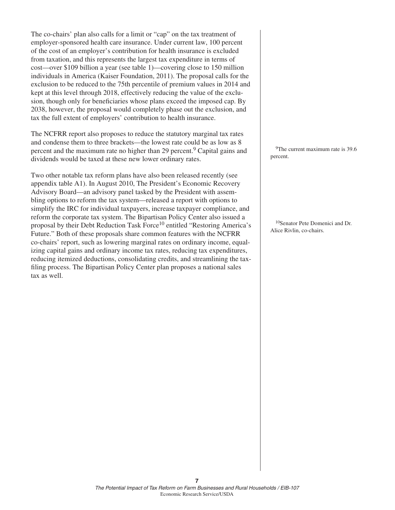The co-chairs' plan also calls for a limit or "cap" on the tax treatment of employer-sponsored health care insurance. Under current law, 100 percent of the cost of an employer's contribution for health insurance is excluded from taxation, and this represents the largest tax expenditure in terms of cost—over \$109 billion a year (see table 1)—covering close to 150 million individuals in America (Kaiser Foundation, 2011). The proposal calls for the exclusion to be reduced to the 75th percentile of premium values in 2014 and kept at this level through 2018, effectively reducing the value of the exclusion, though only for beneficiaries whose plans exceed the imposed cap. By 2038, however, the proposal would completely phase out the exclusion, and tax the full extent of employers' contribution to health insurance.

The NCFRR report also proposes to reduce the statutory marginal tax rates and condense them to three brackets—the lowest rate could be as low as 8 percent and the maximum rate no higher than 29 percent.<sup>9</sup> Capital gains and dividends would be taxed at these new lower ordinary rates.

Two other notable tax reform plans have also been released recently (see appendix table A1). In August 2010, The President's Economic Recovery Advisory Board—an advisory panel tasked by the President with assembling options to reform the tax system—released a report with options to simplify the IRC for individual taxpayers, increase taxpayer compliance, and reform the corporate tax system. The Bipartisan Policy Center also issued a proposal by their Debt Reduction Task Force<sup>10</sup> entitled "Restoring America's Future." Both of these proposals share common features with the NCFRR co-chairs' report, such as lowering marginal rates on ordinary income, equalizing capital gains and ordinary income tax rates, reducing tax expenditures, reducing itemized deductions, consolidating credits, and streamlining the taxfiling process. The Bipartisan Policy Center plan proposes a national sales tax as well.

<sup>9</sup>The current maximum rate is 39.6 percent.

10Senator Pete Domenici and Dr. Alice Rivlin, co-chairs.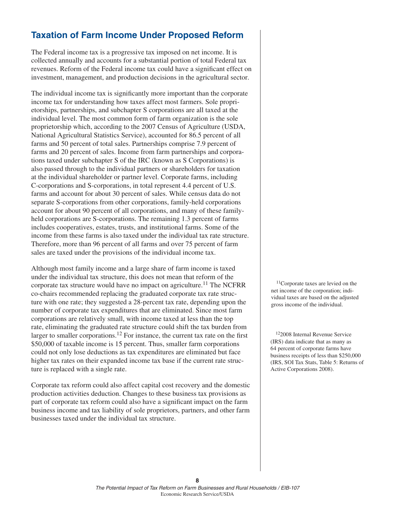## **Taxation of Farm Income Under Proposed Reform**

The Federal income tax is a progressive tax imposed on net income. It is collected annually and accounts for a substantial portion of total Federal tax revenues. Reform of the Federal income tax could have a significant effect on investment, management, and production decisions in the agricultural sector.

The individual income tax is significantly more important than the corporate income tax for understanding how taxes affect most farmers. Sole proprietorships, partnerships, and subchapter S corporations are all taxed at the individual level. The most common form of farm organization is the sole proprietorship which, according to the 2007 Census of Agriculture (USDA, National Agricultural Statistics Service), accounted for 86.5 percent of all farms and 50 percent of total sales. Partnerships comprise 7.9 percent of farms and 20 percent of sales. Income from farm partnerships and corporations taxed under subchapter S of the IRC (known as S Corporations) is also passed through to the individual partners or shareholders for taxation at the individual shareholder or partner level. Corporate farms, including C-corporations and S-corporations, in total represent 4.4 percent of U.S. farms and account for about 30 percent of sales. While census data do not separate S-corporations from other corporations, family-held corporations account for about 90 percent of all corporations, and many of these familyheld corporations are S-corporations. The remaining 1.3 percent of farms includes cooperatives, estates, trusts, and institutional farms. Some of the income from these farms is also taxed under the individual tax rate structure. Therefore, more than 96 percent of all farms and over 75 percent of farm sales are taxed under the provisions of the individual income tax.

Although most family income and a large share of farm income is taxed under the individual tax structure, this does not mean that reform of the corporate tax structure would have no impact on agriculture.<sup>11</sup> The NCFRR co-chairs recommended replacing the graduated corporate tax rate structure with one rate; they suggested a 28-percent tax rate, depending upon the number of corporate tax expenditures that are eliminated. Since most farm corporations are relatively small, with income taxed at less than the top rate, eliminating the graduated rate structure could shift the tax burden from larger to smaller corporations.<sup>12</sup> For instance, the current tax rate on the first \$50,000 of taxable income is 15 percent. Thus, smaller farm corporations could not only lose deductions as tax expenditures are eliminated but face higher tax rates on their expanded income tax base if the current rate structure is replaced with a single rate.

Corporate tax reform could also affect capital cost recovery and the domestic production activities deduction. Changes to these business tax provisions as part of corporate tax reform could also have a significant impact on the farm business income and tax liability of sole proprietors, partners, and other farm businesses taxed under the individual tax structure.

11Corporate taxes are levied on the net income of the corporation; individual taxes are based on the adjusted gross income of the individual.

122008 Internal Revenue Service (IRS) data indicate that as many as 64 percent of corporate farms have business receipts of less than \$250,000 (IRS, SOI Tax Stats, Table 5: Returns of Active Corporations 2008).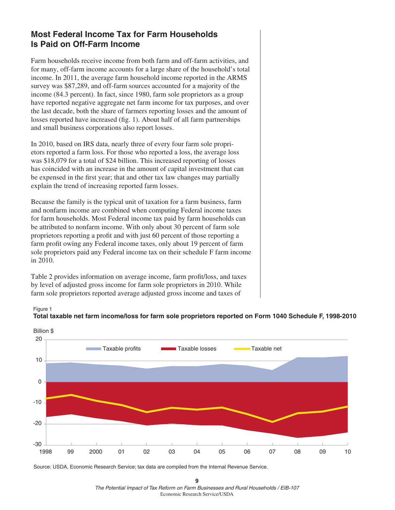## **Most Federal Income Tax for Farm Households Is Paid on Off-Farm Income**

Farm households receive income from both farm and off-farm activities, and for many, off-farm income accounts for a large share of the household's total income. In 2011, the average farm household income reported in the ARMS survey was \$87,289, and off-farm sources accounted for a majority of the income (84.3 percent). In fact, since 1980, farm sole proprietors as a group have reported negative aggregate net farm income for tax purposes, and over the last decade, both the share of farmers reporting losses and the amount of losses reported have increased (fig. 1). About half of all farm partnerships and small business corporations also report losses.

In 2010, based on IRS data, nearly three of every four farm sole proprietors reported a farm loss. For those who reported a loss, the average loss was \$18,079 for a total of \$24 billion. This increased reporting of losses has coincided with an increase in the amount of capital investment that can be expensed in the first year; that and other tax law changes may partially explain the trend of increasing reported farm losses.

Because the family is the typical unit of taxation for a farm business, farm and nonfarm income are combined when computing Federal income taxes for farm households. Most Federal income tax paid by farm households can be attributed to nonfarm income. With only about 30 percent of farm sole proprietors reporting a profit and with just 60 percent of those reporting a farm profit owing any Federal income taxes, only about 19 percent of farm sole proprietors paid any Federal income tax on their schedule F farm income in 2010.

Table 2 provides information on average income, farm profit/loss, and taxes by level of adjusted gross income for farm sole proprietors in 2010. While farm sole proprietors reported average adjusted gross income and taxes of





Source: USDA, Economic Research Service; tax data are compiled from the Internal Revenue Service.

**9** *The Potential Impact of Tax Reform on Farm Businesses and Rural Households / EIB-107* Economic Research Service/USDA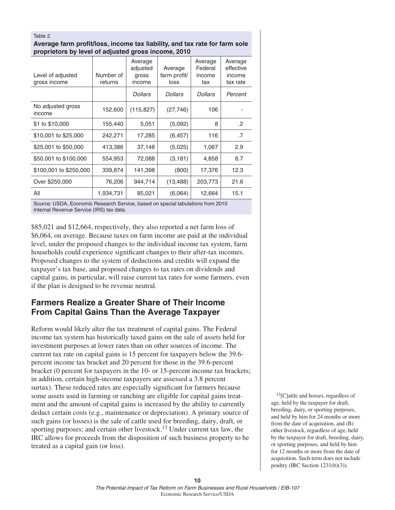#### Table 2 **Average farm profit/loss, income tax liability, and tax rate for farm sole proprietors by level of adjusted gross income, 2010**

|                                   |                      | 50                                     |                                 |                                     |                                            |
|-----------------------------------|----------------------|----------------------------------------|---------------------------------|-------------------------------------|--------------------------------------------|
| Level of adjusted<br>gross income | Number of<br>returns | Average<br>adjusted<br>gross<br>income | Average<br>farm profit/<br>loss | Average<br>Federal<br>income<br>tax | Average<br>effective<br>income<br>tax rate |
|                                   |                      | <b>Dollars</b>                         | <b>Dollars</b>                  | <b>Dollars</b>                      | Percent                                    |
| No adjusted gross<br>income       | 152,600              | (115, 827)                             | (27, 746)                       | 106                                 |                                            |
| \$1 to \$10,000                   | 155,440              | 5,051                                  | (5,092)                         | 8                                   | $\cdot$ .2                                 |
| \$10,001 to \$25,000              | 242,271              | 17,285                                 | (6, 457)                        | 116                                 | .7                                         |
| \$25,001 to \$50,000              | 413,386              | 37,148                                 | (5,025)                         | 1,067                               | 2.9                                        |
| \$50,001 to \$100,000             | 554,953              | 72,088                                 | (3, 181)                        | 4,858                               | 6.7                                        |
| \$100,001 to \$250,000            | 339,874              | 141,398                                | (800)                           | 17,376                              | 12.3                                       |
| Over \$250,000                    | 76,206               | 944,714                                | (13, 488)                       | 203,773                             | 21.6                                       |
| All                               | 1,934,731            | 85,021                                 | (6,064)                         | 12,664                              | 15.1                                       |

Source: USDA, Economic Research Service, based on special tabulations from 2010 Internal Revenue Service (IRS) tax data.

\$85,021 and \$12,664, respectively, they also reported a net farm loss of \$6,064, on average. Because taxes on farm income are paid at the individual level, under the proposed changes to the individual income tax system, farm households could experience significant changes to their after-tax incomes. Proposed changes to the system of deductions and credits will expand the taxpayer's tax base, and proposed changes to tax rates on dividends and capital gains, in particular, will raise current tax rates for some farmers, even if the plan is designed to be revenue neutral.

## **Farmers Realize a Greater Share of Their Income From Capital Gains Than the Average Taxpayer**

Reform would likely alter the tax treatment of capital gains. The Federal income tax system has historically taxed gains on the sale of assets held for investment purposes at lower rates than on other sources of income. The current tax rate on capital gains is 15 percent for taxpayers below the 39.6 percent income tax bracket and 20 percent for those in the 39.6-percent bracket (0 percent for taxpayers in the 10- or 15-percent income tax brackets; in addition, certain high-income taxpayers are assessed a 3.8 percent surtax). These reduced rates are especially significant for farmers because some assets used in farming or ranching are eligible for capital gains treatment and the amount of capital gains is increased by the ability to currently deduct certain costs (e.g., maintenance or depreciation). A primary source of such gains (or losses) is the sale of cattle used for breeding, dairy, draft, or sporting purposes; and certain other livestock.<sup>13</sup> Under current tax law, the IRC allows for proceeds from the disposition of such business property to be treated as a capital gain (or loss).

 $13$ [C]attle and horses, regardless of age, held by the taxpayer for draft, breeding, dairy, or sporting purposes, and held by him for 24 months or more from the date of acquisition, and (B) other livestock, regardless of age, held by the taxpayer for draft, breeding, dairy, or sporting purposes, and held by him for 12 months or more from the date of acquisition. Such term does not include poultry (IRC Section 1231(b)(3)).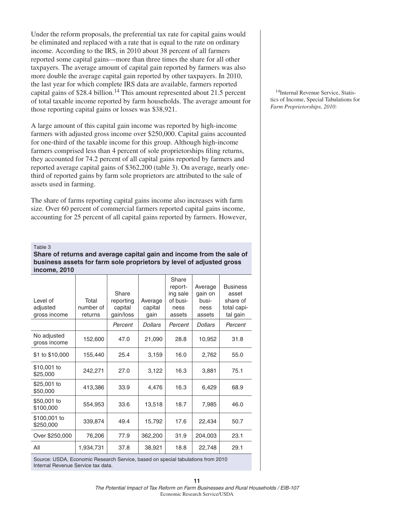Under the reform proposals, the preferential tax rate for capital gains would be eliminated and replaced with a rate that is equal to the rate on ordinary income. According to the IRS, in 2010 about 38 percent of all farmers reported some capital gains—more than three times the share for all other taxpayers. The average amount of capital gain reported by farmers was also more double the average capital gain reported by other taxpayers. In 2010, the last year for which complete IRS data are available, farmers reported capital gains of \$28.4 billion.<sup>14</sup> This amount represented about 21.5 percent of total taxable income reported by farm households. The average amount for those reporting capital gains or losses was \$38,921.

A large amount of this capital gain income was reported by high-income farmers with adjusted gross income over \$250,000. Capital gains accounted for one-third of the taxable income for this group. Although high-income farmers comprised less than 4 percent of sole proprietorships filing returns, they accounted for 74.2 percent of all capital gains reported by farmers and reported average capital gains of \$362,200 (table 3). On average, nearly onethird of reported gains by farm sole proprietors are attributed to the sale of assets used in farming.

The share of farms reporting capital gains income also increases with farm size. Over 60 percent of commercial farmers reported capital gains income, accounting for 25 percent of all capital gains reported by farmers. However,

#### Table 3

#### **Share of returns and average capital gain and income from the sale of business assets for farm sole proprietors by level of adjusted gross income, 2010**

| Level of<br>adjusted<br>gross income | Total<br>number of<br>returns | Share<br>reporting<br>capital<br>gain/loss | Average<br>capital<br>gain | Share<br>report-<br>ing sale<br>of busi-<br>ness<br>assets | Average<br>gain on<br>busi-<br>ness<br>assets | <b>Business</b><br>asset<br>share of<br>total capi-<br>tal gain |
|--------------------------------------|-------------------------------|--------------------------------------------|----------------------------|------------------------------------------------------------|-----------------------------------------------|-----------------------------------------------------------------|
|                                      |                               | Percent                                    | <b>Dollars</b>             | Percent                                                    | <b>Dollars</b>                                | Percent                                                         |
| No adjusted<br>gross income          | 152,600                       | 47.0                                       | 21,090                     | 28.8                                                       | 10,952                                        | 31.8                                                            |
| \$1 to \$10,000                      | 155,440                       | 25.4                                       | 3,159                      | 16.0                                                       | 2,762                                         | 55.0                                                            |
| \$10,001 to<br>\$25,000              | 242,271                       | 27.0                                       | 3,122                      | 16.3                                                       | 3,881                                         | 75.1                                                            |
| \$25,001 to<br>\$50,000              | 413,386                       | 33.9                                       | 4,476                      | 16.3                                                       | 6,429                                         | 68.9                                                            |
| \$50,001 to<br>\$100,000             | 554,953                       | 33.6                                       | 13,518                     | 18.7                                                       | 7,985                                         | 46.0                                                            |
| \$100,001 to<br>\$250,000            | 339,874                       | 49.4                                       | 15,792                     | 17.6                                                       | 22,434                                        | 50.7                                                            |
| Over \$250,000                       | 76,206                        | 77.9                                       | 362,200                    | 31.9                                                       | 204,003                                       | 23.1                                                            |
| All                                  | 1,934,731                     | 37.8                                       | 38,921                     | 18.8                                                       | 22,748                                        | 29.1                                                            |

Source: USDA, Economic Research Service, based on special tabulations from 2010 Internal Revenue Service tax data.

14Internal Revenue Service, Statistics of Income, Special Tabulations for *Farm Proprietorships, 2010:*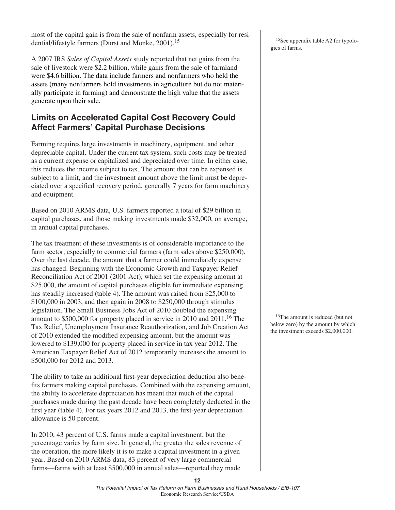most of the capital gain is from the sale of nonfarm assets, especially for residential/lifestyle farmers (Durst and Monke, 2001).<sup>15</sup>

A 2007 IRS *Sales of Capital Assets* study reported that net gains from the sale of livestock were \$2.2 billion, while gains from the sale of farmland were \$4.6 billion. The data include farmers and nonfarmers who held the assets (many nonfarmers hold investments in agriculture but do not materially participate in farming) and demonstrate the high value that the assets generate upon their sale.

## **Limits on Accelerated Capital Cost Recovery Could Affect Farmers' Capital Purchase Decisions**

Farming requires large investments in machinery, equipment, and other depreciable capital. Under the current tax system, such costs may be treated as a current expense or capitalized and depreciated over time. In either case, this reduces the income subject to tax. The amount that can be expensed is subject to a limit, and the investment amount above the limit must be depreciated over a specified recovery period, generally 7 years for farm machinery and equipment.

Based on 2010 ARMS data, U.S. farmers reported a total of \$29 billion in capital purchases, and those making investments made \$32,000, on average, in annual capital purchases.

The tax treatment of these investments is of considerable importance to the farm sector, especially to commercial farmers (farm sales above \$250,000). Over the last decade, the amount that a farmer could immediately expense has changed. Beginning with the Economic Growth and Taxpayer Relief Reconciliation Act of 2001 (2001 Act), which set the expensing amount at \$25,000, the amount of capital purchases eligible for immediate expensing has steadily increased (table 4). The amount was raised from \$25,000 to \$100,000 in 2003, and then again in 2008 to \$250,000 through stimulus legislation. The Small Business Jobs Act of 2010 doubled the expensing amount to \$500,000 for property placed in service in 2010 and 2011.<sup>16</sup> The Tax Relief, Unemployment Insurance Reauthorization, and Job Creation Act of 2010 extended the modified expensing amount, but the amount was lowered to \$139,000 for property placed in service in tax year 2012. The American Taxpayer Relief Act of 2012 temporarily increases the amount to \$500,000 for 2012 and 2013.

The ability to take an additional first-year depreciation deduction also benefits farmers making capital purchases. Combined with the expensing amount, the ability to accelerate depreciation has meant that much of the capital purchases made during the past decade have been completely deducted in the first year (table 4). For tax years  $2012$  and  $2013$ , the first-year depreciation allowance is 50 percent.

In 2010, 43 percent of U.S. farms made a capital investment, but the percentage varies by farm size. In general, the greater the sales revenue of the operation, the more likely it is to make a capital investment in a given year. Based on 2010 ARMS data, 83 percent of very large commercial farms—farms with at least \$500,000 in annual sales—reported they made

<sup>15</sup>See appendix table A2 for typologies of farms.

16The amount is reduced (but not below zero) by the amount by which the investment exceeds \$2,000,000.

*The Potential Impact of Tax Reform on Farm Businesses and Rural Households / EIB-107* Economic Research Service/USDA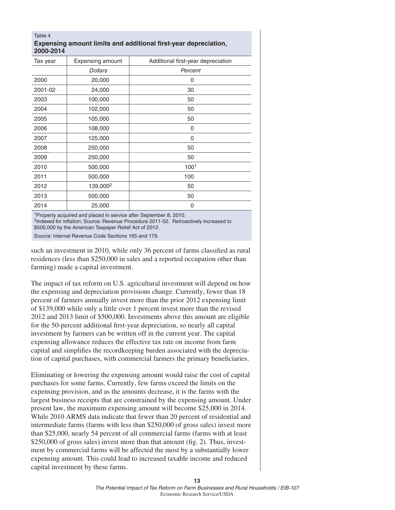#### Table 4 **Expensing amount limits and additional first-year depreciation, 2000-2014**

| Tax year | <b>Expensing amount</b> | Additional first-year depreciation |
|----------|-------------------------|------------------------------------|
|          | <b>Dollars</b>          | Percent                            |
| 2000     | 20,000                  | 0                                  |
| 2001-02  | 24,000                  | 30                                 |
| 2003     | 100,000                 | 50                                 |
| 2004     | 102,000                 | 50                                 |
| 2005     | 105,000                 | 50                                 |
| 2006     | 108,000                 | 0                                  |
| 2007     | 125,000                 | 0                                  |
| 2008     | 250,000                 | 50                                 |
| 2009     | 250,000                 | 50                                 |
| 2010     | 500,000                 | 100 <sup>1</sup>                   |
| 2011     | 500,000                 | 100                                |
| 2012     | 139,000 <sup>2</sup>    | 50                                 |
| 2013     | 500,000                 | 50                                 |
| 2014     | 25,000                  | 0                                  |

1Property acquired and placed in service after September 8, 2010.

<sup>2</sup>Indexed for inflation; Source: Revenue Procedure 2011-52. Retroactively increased to \$500,000 by the American Taxpayer Relief Act of 2012.

Source: Internal Revenue Code Sections 165 and 179.

such an investment in 2010, while only 36 percent of farms classified as rural residences (less than \$250,000 in sales and a reported occupation other than farming) made a capital investment.

The impact of tax reform on U.S. agricultural investment will depend on how the expensing and depreciation provisions change. Currently, fewer than 18 percent of farmers annually invest more than the prior 2012 expensing limit of \$139,000 while only a little over 1 percent invest more than the revised 2012 and 2013 limit of \$500,000. Investments above this amount are eligible for the 50-percent additional first-year depreciation, so nearly all capital investment by farmers can be written off in the current year. The capital expensing allowance reduces the effective tax rate on income from farm capital and simplifies the recordkeeping burden associated with the depreciation of capital purchases, with commercial farmers the primary beneficiaries.

Eliminating or lowering the expensing amount would raise the cost of capital purchases for some farms. Currently, few farms exceed the limits on the expensing provision, and as the amounts decrease, it is the farms with the largest business receipts that are constrained by the expensing amount. Under present law, the maximum expensing amount will become \$25,000 in 2014. While 2010 ARMS data indicate that fewer than 20 percent of residential and intermediate farms (farms with less than \$250,000 of gross sales) invest more than \$25,000, nearly 54 percent of all commercial farms (farms with at least  $$250,000$  of gross sales) invest more than that amount (fig. 2). Thus, investment by commercial farms will be affected the most by a substantially lower expensing amount. This could lead to increased taxable income and reduced capital investment by these farms.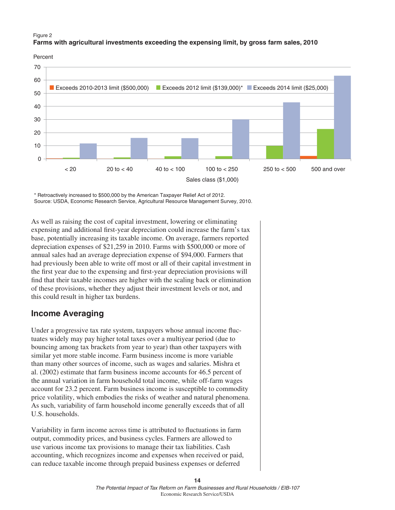#### Figure 2 **Farms with agricultural investments exceeding the expensing limit, by gross farm sales, 2010**

Percent



\* Retroactively increased to \$500,000 by the American Taxpayer Relief Act of 2012. Source: USDA, Economic Research Service, Agricultural Resource Management Survey, 2010.

As well as raising the cost of capital investment, lowering or eliminating expensing and additional first-year depreciation could increase the farm's tax base, potentially increasing its taxable income. On average, farmers reported depreciation expenses of \$21,259 in 2010. Farms with \$500,000 or more of annual sales had an average depreciation expense of \$94,000. Farmers that had previously been able to write off most or all of their capital investment in the first year due to the expensing and first-year depreciation provisions will find that their taxable incomes are higher with the scaling back or elimination of these provisions, whether they adjust their investment levels or not, and this could result in higher tax burdens.

## **Income Averaging**

Under a progressive tax rate system, taxpayers whose annual income fluctuates widely may pay higher total taxes over a multiyear period (due to bouncing among tax brackets from year to year) than other taxpayers with similar yet more stable income. Farm business income is more variable than many other sources of income, such as wages and salaries. Mishra et al. (2002) estimate that farm business income accounts for 46.5 percent of the annual variation in farm household total income, while off-farm wages account for 23.2 percent. Farm business income is susceptible to commodity price volatility, which embodies the risks of weather and natural phenomena. As such, variability of farm household income generally exceeds that of all U.S. households.

Variability in farm income across time is attributed to fluctuations in farm output, commodity prices, and business cycles. Farmers are allowed to use various income tax provisions to manage their tax liabilities. Cash accounting, which recognizes income and expenses when received or paid, can reduce taxable income through prepaid business expenses or deferred

> *The Potential Impact of Tax Reform on Farm Businesses and Rural Households / EIB-107* Economic Research Service/USDA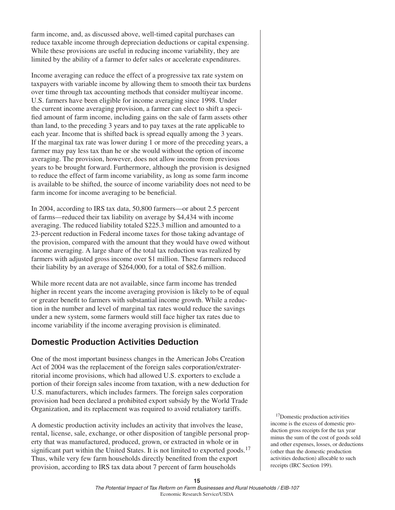farm income, and, as discussed above, well-timed capital purchases can reduce taxable income through depreciation deductions or capital expensing. While these provisions are useful in reducing income variability, they are limited by the ability of a farmer to defer sales or accelerate expenditures.

Income averaging can reduce the effect of a progressive tax rate system on taxpayers with variable income by allowing them to smooth their tax burdens over time through tax accounting methods that consider multiyear income. U.S. farmers have been eligible for income averaging since 1998. Under the current income averaging provision, a farmer can elect to shift a specified amount of farm income, including gains on the sale of farm assets other than land, to the preceding 3 years and to pay taxes at the rate applicable to each year. Income that is shifted back is spread equally among the 3 years. If the marginal tax rate was lower during 1 or more of the preceding years, a farmer may pay less tax than he or she would without the option of income averaging. The provision, however, does not allow income from previous years to be brought forward. Furthermore, although the provision is designed to reduce the effect of farm income variability, as long as some farm income is available to be shifted, the source of income variability does not need to be farm income for income averaging to be beneficial.

In 2004, according to IRS tax data, 50,800 farmers—or about 2.5 percent of farms—reduced their tax liability on average by \$4,434 with income averaging. The reduced liability totaled \$225.3 million and amounted to a 23-percent reduction in Federal income taxes for those taking advantage of the provision, compared with the amount that they would have owed without income averaging. A large share of the total tax reduction was realized by farmers with adjusted gross income over \$1 million. These farmers reduced their liability by an average of \$264,000, for a total of \$82.6 million.

While more recent data are not available, since farm income has trended higher in recent years the income averaging provision is likely to be of equal or greater benefit to farmers with substantial income growth. While a reduction in the number and level of marginal tax rates would reduce the savings under a new system, some farmers would still face higher tax rates due to income variability if the income averaging provision is eliminated.

## **Domestic Production Activities Deduction**

One of the most important business changes in the American Jobs Creation Act of 2004 was the replacement of the foreign sales corporation/extraterritorial income provisions, which had allowed U.S. exporters to exclude a portion of their foreign sales income from taxation, with a new deduction for U.S. manufacturers, which includes farmers. The foreign sales corporation provision had been declared a prohibited export subsidy by the World Trade Organization, and its replacement was required to avoid retaliatory tariffs.

A domestic production activity includes an activity that involves the lease, rental, license, sale, exchange, or other disposition of tangible personal property that was manufactured, produced, grown, or extracted in whole or in significant part within the United States. It is not limited to exported goods.<sup>17</sup> Thus, while very few farm households directly benefited from the export provision, according to IRS tax data about 7 percent of farm households

17Domestic production activities income is the excess of domestic production gross receipts for the tax year minus the sum of the cost of goods sold and other expenses, losses, or deductions (other than the domestic production activities deduction) allocable to such receipts (IRC Section 199).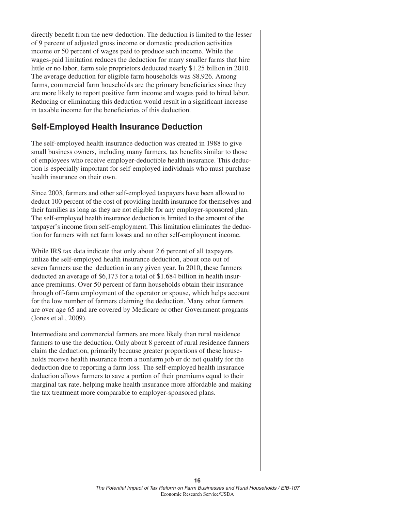directly benefit from the new deduction. The deduction is limited to the lesser of 9 percent of adjusted gross income or domestic production activities income or 50 percent of wages paid to produce such income. While the wages-paid limitation reduces the deduction for many smaller farms that hire little or no labor, farm sole proprietors deducted nearly \$1.25 billion in 2010. The average deduction for eligible farm households was \$8,926. Among farms, commercial farm households are the primary beneficiaries since they are more likely to report positive farm income and wages paid to hired labor. Reducing or eliminating this deduction would result in a significant increase in taxable income for the beneficiaries of this deduction.

## **Self-Employed Health Insurance Deduction**

The self-employed health insurance deduction was created in 1988 to give small business owners, including many farmers, tax benefits similar to those of employees who receive employer-deductible health insurance. This deduction is especially important for self-employed individuals who must purchase health insurance on their own.

Since 2003, farmers and other self-employed taxpayers have been allowed to deduct 100 percent of the cost of providing health insurance for themselves and their families as long as they are not eligible for any employer-sponsored plan. The self-employed health insurance deduction is limited to the amount of the taxpayer's income from self-employment. This limitation eliminates the deduction for farmers with net farm losses and no other self-employment income.

While IRS tax data indicate that only about 2.6 percent of all taxpayers utilize the self-employed health insurance deduction, about one out of seven farmers use the deduction in any given year. In 2010, these farmers deducted an average of \$6,173 for a total of \$1.684 billion in health insurance premiums. Over 50 percent of farm households obtain their insurance through off-farm employment of the operator or spouse, which helps account for the low number of farmers claiming the deduction. Many other farmers are over age 65 and are covered by Medicare or other Government programs (Jones et al., 2009).

Intermediate and commercial farmers are more likely than rural residence farmers to use the deduction. Only about 8 percent of rural residence farmers claim the deduction, primarily because greater proportions of these households receive health insurance from a nonfarm job or do not qualify for the deduction due to reporting a farm loss. The self-employed health insurance deduction allows farmers to save a portion of their premiums equal to their marginal tax rate, helping make health insurance more affordable and making the tax treatment more comparable to employer-sponsored plans.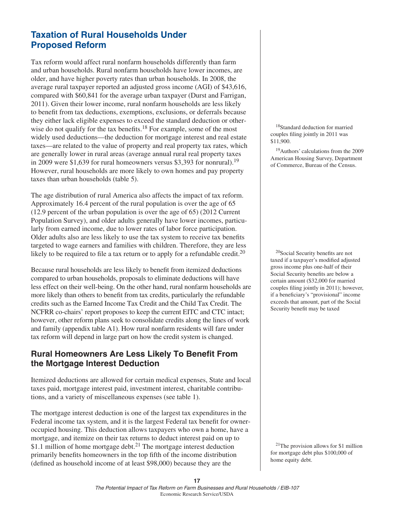## **Taxation of Rural Households Under Proposed Reform**

Tax reform would affect rural nonfarm households differently than farm and urban households. Rural nonfarm households have lower incomes, are older, and have higher poverty rates than urban households. In 2008, the average rural taxpayer reported an adjusted gross income (AGI) of \$43,616, compared with \$60,841 for the average urban taxpayer (Durst and Farrigan, 2011). Given their lower income, rural nonfarm households are less likely to benefit from tax deductions, exemptions, exclusions, or deferrals because they either lack eligible expenses to exceed the standard deduction or otherwise do not qualify for the tax benefits.<sup>18</sup> For example, some of the most widely used deductions—the deduction for mortgage interest and real estate taxes—are related to the value of property and real property tax rates, which are generally lower in rural areas (average annual rural real property taxes in 2009 were \$1,639 for rural homeowners versus \$3,393 for nonrural).19 However, rural households are more likely to own homes and pay property taxes than urban households (table 5).

The age distribution of rural America also affects the impact of tax reform. Approximately 16.4 percent of the rural population is over the age of 65 (12.9 percent of the urban population is over the age of 65) (2012 Current Population Survey), and older adults generally have lower incomes, particularly from earned income, due to lower rates of labor force participation. Older adults also are less likely to use the tax system to receive tax benefits targeted to wage earners and families with children. Therefore, they are less likely to be required to file a tax return or to apply for a refundable credit.<sup>20</sup>

Because rural households are less likely to benefit from itemized deductions compared to urban households, proposals to eliminate deductions will have less effect on their well-being. On the other hand, rural nonfarm households are more likely than others to benefit from tax credits, particularly the refundable credits such as the Earned Income Tax Credit and the Child Tax Credit. The NCFRR co-chairs' report proposes to keep the current EITC and CTC intact; however, other reform plans seek to consolidate credits along the lines of work and family (appendix table A1). How rural nonfarm residents will fare under tax reform will depend in large part on how the credit system is changed.

## **Rural Homeowners Are Less Likely To Benefit From the Mortgage Interest Deduction**

Itemized deductions are allowed for certain medical expenses, State and local taxes paid, mortgage interest paid, investment interest, charitable contributions, and a variety of miscellaneous expenses (see table 1).

The mortgage interest deduction is one of the largest tax expenditures in the Federal income tax system, and it is the largest Federal tax benefit for owneroccupied housing. This deduction allows taxpayers who own a home, have a mortgage, and itemize on their tax returns to deduct interest paid on up to \$1.1 million of home mortgage debt.<sup>21</sup> The mortgage interest deduction primarily benefits homeowners in the top fifth of the income distribution (defined as household income of at least \$98,000) because they are the

18Standard deduction for married couples filing jointly in 2011 was \$11,900.

19Authors' calculations from the 2009 American Housing Survey, Department of Commerce, Bureau of the Census.

 $20$ Social Security benefits are not taxed if a taxpayer's modified adjusted gross income plus one-half of their Social Security benefits are below a certain amount (\$32,000 for married couples filing jointly in 2011); however, if a beneficiary's "provisional" income exceeds that amount, part of the Social Security benefit may be taxed

21The provision allows for \$1 million for mortgage debt plus \$100,000 of home equity debt.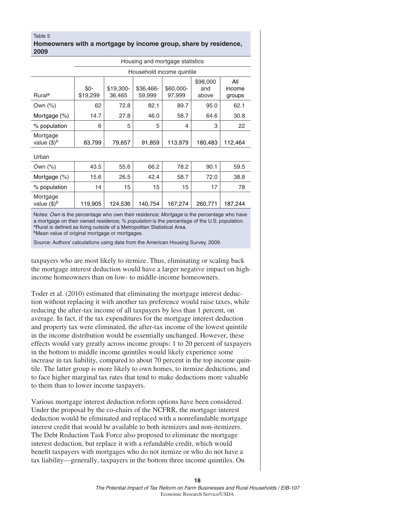#### Table 5 **Homeowners with a mortgage by income group, share by residence, 2009**

| Housing and mortgage statistics |                  |                     |                     |                           |                          |                         |
|---------------------------------|------------------|---------------------|---------------------|---------------------------|--------------------------|-------------------------|
|                                 |                  |                     |                     | Household income quintile |                          |                         |
| <b>Rural</b> <sup>a</sup>       | \$0-<br>\$19,299 | \$19,300-<br>36,465 | \$36,466-<br>59,999 | \$60,000-<br>97,999       | \$98,000<br>and<br>above | All<br>income<br>groups |
| Own $(\%)$                      | 62               | 72.8                | 82.1                | 89.7                      | 95.0                     | 62.1                    |
| Mortgage (%)                    | 14.7             | 27.8                | 46.0                | 58.7                      | 64.6                     | 30.8                    |
| % population                    | 6                | 5                   | 5                   | 4                         | 3                        | 22                      |
| Mortgage<br>value $(\$)^b$      | 83,799           | 79,657              | 91,859              | 113,979                   | 180,483                  | 112,464                 |
| Urban                           |                  |                     |                     |                           |                          |                         |
| Own $(\%)$                      | 43.5             | 55.6                | 66.2                | 78.2                      | 90.1                     | 59.5                    |
| Mortgage $(\%)$                 | 15.6             | 26.5                | 42.4                | 58.7                      | 72.0                     | 38.8                    |
| % population                    | 14               | 15                  | 15                  | 15                        | 17                       | 78                      |
| Mortgage<br>value $(\$)^b$      | 119,905          | 124,536             | 140,754             | 167,274                   | 260,771                  | 187,244                 |

Notes: *Own* is the percentage who own their residence; *Mortgage* is the percentage who have a mortgage on their owned residence; *% population* is the percentage of the U.S. population. <sup>a</sup>Rural is defined as living outside of a Metropolitan Statistical Area.

bMean value of original mortgage or mortgages.

Source: Authors' calculations using data from the American Housing Survey, 2009.

taxpayers who are most likely to itemize. Thus, eliminating or scaling back the mortgage interest deduction would have a larger negative impact on highincome homeowners than on low- to middle-income homeowners.

Toder et al. (2010) estimated that eliminating the mortgage interest deduction without replacing it with another tax preference would raise taxes, while reducing the after-tax income of all taxpayers by less than 1 percent, on average. In fact, if the tax expenditures for the mortgage interest deduction and property tax were eliminated, the after-tax income of the lowest quintile in the income distribution would be essentially unchanged. However, these effects would vary greatly across income groups: 1 to 20 percent of taxpayers in the bottom to middle income quintiles would likely experience some increase in tax liability, compared to about 70 percent in the top income quintile. The latter group is more likely to own homes, to itemize deductions, and to face higher marginal tax rates that tend to make deductions more valuable to them than to lower income taxpayers.

Various mortgage interest deduction reform options have been considered. Under the proposal by the co-chairs of the NCFRR, the mortgage interest deduction would be eliminated and replaced with a nonrefundable mortgage interest credit that would be available to both itemizers and non-itemizers. The Debt Reduction Task Force also proposed to eliminate the mortgage interest deduction, but replace it with a refundable credit, which would benefit taxpayers with mortgages who do not itemize or who do not have a tax liability—generally, taxpayers in the bottom three income quintiles. On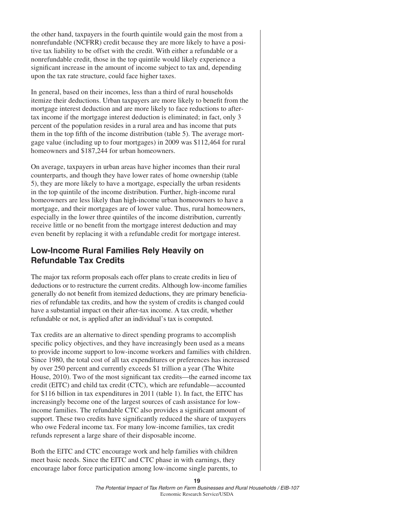the other hand, taxpayers in the fourth quintile would gain the most from a nonrefundable (NCFRR) credit because they are more likely to have a positive tax liability to be offset with the credit. With either a refundable or a nonrefundable credit, those in the top quintile would likely experience a significant increase in the amount of income subject to tax and, depending upon the tax rate structure, could face higher taxes.

In general, based on their incomes, less than a third of rural households itemize their deductions. Urban taxpayers are more likely to benefit from the mortgage interest deduction and are more likely to face reductions to aftertax income if the mortgage interest deduction is eliminated; in fact, only 3 percent of the population resides in a rural area and has income that puts them in the top fifth of the income distribution (table 5). The average mortgage value (including up to four mortgages) in 2009 was \$112,464 for rural homeowners and \$187,244 for urban homeowners.

On average, taxpayers in urban areas have higher incomes than their rural counterparts, and though they have lower rates of home ownership (table 5), they are more likely to have a mortgage, especially the urban residents in the top quintile of the income distribution. Further, high-income rural homeowners are less likely than high-income urban homeowners to have a mortgage, and their mortgages are of lower value. Thus, rural homeowners, especially in the lower three quintiles of the income distribution, currently receive little or no benefit from the mortgage interest deduction and may even benefit by replacing it with a refundable credit for mortgage interest.

## **Low-Income Rural Families Rely Heavily on Refundable Tax Credits**

The major tax reform proposals each offer plans to create credits in lieu of deductions or to restructure the current credits. Although low-income families generally do not benefit from itemized deductions, they are primary beneficiaries of refundable tax credits, and how the system of credits is changed could have a substantial impact on their after-tax income. A tax credit, whether refundable or not, is applied after an individual's tax is computed.

Tax credits are an alternative to direct spending programs to accomplish specific policy objectives, and they have increasingly been used as a means to provide income support to low-income workers and families with children. Since 1980, the total cost of all tax expenditures or preferences has increased by over 250 percent and currently exceeds \$1 trillion a year (The White House, 2010). Two of the most significant tax credits—the earned income tax credit (EITC) and child tax credit (CTC), which are refundable—accounted for \$116 billion in tax expenditures in 2011 (table 1). In fact, the EITC has increasingly become one of the largest sources of cash assistance for lowincome families. The refundable CTC also provides a significant amount of support. These two credits have significantly reduced the share of taxpayers who owe Federal income tax. For many low-income families, tax credit refunds represent a large share of their disposable income.

Both the EITC and CTC encourage work and help families with children meet basic needs. Since the EITC and CTC phase in with earnings, they encourage labor force participation among low-income single parents, to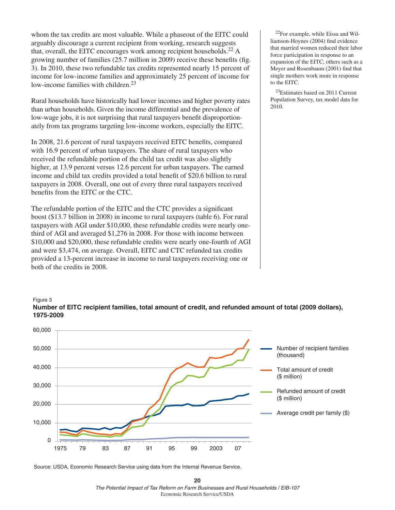whom the tax credits are most valuable. While a phaseout of the EITC could arguably discourage a current recipient from working, research suggests that, overall, the EITC encourages work among recipient households.<sup>22</sup> A growing number of families  $(25.7 \text{ million in } 2009)$  receive these benefits (fig. 3). In 2010, these two refundable tax credits represented nearly 15 percent of income for low-income families and approximately 25 percent of income for low-income families with children.<sup>23</sup>

Rural households have historically had lower incomes and higher poverty rates than urban households. Given the income differential and the prevalence of low-wage jobs, it is not surprising that rural taxpayers benefit disproportionately from tax programs targeting low-income workers, especially the EITC.

In 2008, 21.6 percent of rural taxpayers received EITC benefits, compared with 16.9 percent of urban taxpayers. The share of rural taxpayers who received the refundable portion of the child tax credit was also slightly higher, at 13.9 percent versus 12.6 percent for urban taxpayers. The earned income and child tax credits provided a total benefit of \$20.6 billion to rural taxpayers in 2008. Overall, one out of every three rural taxpayers received benefits from the EITC or the CTC.

The refundable portion of the EITC and the CTC provides a significant boost (\$13.7 billion in 2008) in income to rural taxpayers (table 6). For rural taxpayers with AGI under \$10,000, these refundable credits were nearly onethird of AGI and averaged \$1,276 in 2008. For those with income between \$10,000 and \$20,000, these refundable credits were nearly one-fourth of AGI and were \$3,474, on average. Overall, EITC and CTC refunded tax credits provided a 13-percent increase in income to rural taxpayers receiving one or both of the credits in 2008.

22For example, while Eissa and Williamson-Hoynes (2004) find evidence that married women reduced their labor force participation in response to an expansion of the EITC, others such as a Meyer and Rosenbaum (2001) find that single mothers work more in response to the EITC.

23Estimates based on 2011 Current Population Survey, tax model data for 2010.

#### Figure 3 **Number of EITC recipient families, total amount of credit, and refunded amount of total (2009 dollars), 1975-2009**



Source: USDA, Economic Research Service using data from the Internal Revenue Service.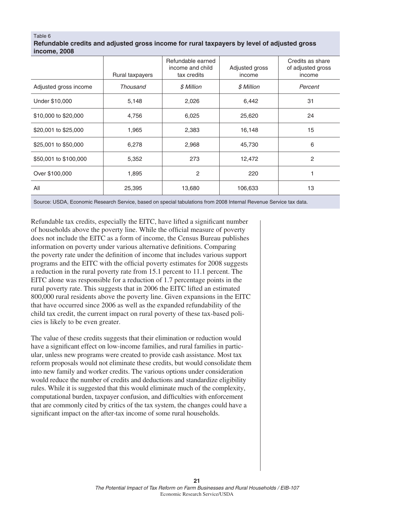#### Table 6

| Refundable credits and adjusted gross income for rural taxpayers by level of adjusted gross |  |
|---------------------------------------------------------------------------------------------|--|
| income, 2008                                                                                |  |

|                       | Rural taxpayers | Refundable earned<br>income and child<br>tax credits | Adjusted gross<br>income | Credits as share<br>of adjusted gross<br>income |
|-----------------------|-----------------|------------------------------------------------------|--------------------------|-------------------------------------------------|
| Adjusted gross income | Thousand        | \$ Million                                           | \$ Million               | Percent                                         |
| Under \$10,000        | 5,148           | 2,026                                                | 6,442                    | 31                                              |
| \$10,000 to \$20,000  | 4,756           | 6,025                                                | 25,620                   | 24                                              |
| \$20,001 to \$25,000  | 1,965           | 2,383                                                | 16,148                   | 15                                              |
| \$25,001 to \$50,000  | 6,278           | 2,968                                                | 45,730                   | 6                                               |
| \$50,001 to \$100,000 | 5,352           | 273                                                  | 12,472                   | 2                                               |
| Over \$100,000        | 1,895           | 2                                                    | 220                      |                                                 |
| All                   | 25,395          | 13,680                                               | 106,633                  | 13                                              |

Source: USDA, Economic Research Service, based on special tabulations from 2008 Internal Revenue Service tax data.

Refundable tax credits, especially the EITC, have lifted a significant number of households above the poverty line. While the official measure of poverty does not include the EITC as a form of income, the Census Bureau publishes information on poverty under various alternative definitions. Comparing the poverty rate under the definition of income that includes various support programs and the EITC with the official poverty estimates for 2008 suggests a reduction in the rural poverty rate from 15.1 percent to 11.1 percent. The EITC alone was responsible for a reduction of 1.7 percentage points in the rural poverty rate. This suggests that in 2006 the EITC lifted an estimated 800,000 rural residents above the poverty line. Given expansions in the EITC that have occurred since 2006 as well as the expanded refundability of the child tax credit, the current impact on rural poverty of these tax-based policies is likely to be even greater.

The value of these credits suggests that their elimination or reduction would have a significant effect on low-income families, and rural families in particular, unless new programs were created to provide cash assistance. Most tax reform proposals would not eliminate these credits, but would consolidate them into new family and worker credits. The various options under consideration would reduce the number of credits and deductions and standardize eligibility rules. While it is suggested that this would eliminate much of the complexity, computational burden, taxpayer confusion, and difficulties with enforcement that are commonly cited by critics of the tax system, the changes could have a significant impact on the after-tax income of some rural households.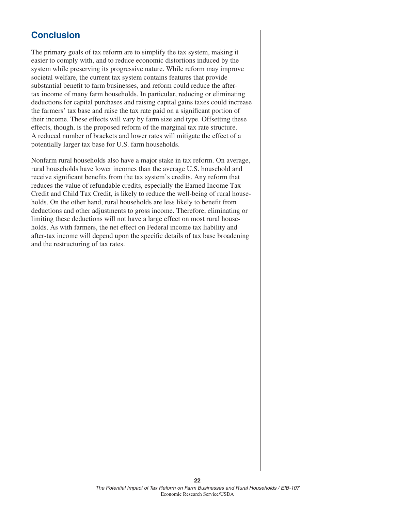## **Conclusion**

The primary goals of tax reform are to simplify the tax system, making it easier to comply with, and to reduce economic distortions induced by the system while preserving its progressive nature. While reform may improve societal welfare, the current tax system contains features that provide substantial benefit to farm businesses, and reform could reduce the aftertax income of many farm households. In particular, reducing or eliminating deductions for capital purchases and raising capital gains taxes could increase the farmers' tax base and raise the tax rate paid on a significant portion of their income. These effects will vary by farm size and type. Offsetting these effects, though, is the proposed reform of the marginal tax rate structure. A reduced number of brackets and lower rates will mitigate the effect of a potentially larger tax base for U.S. farm households.

Nonfarm rural households also have a major stake in tax reform. On average, rural households have lower incomes than the average U.S. household and receive significant benefits from the tax system's credits. Any reform that reduces the value of refundable credits, especially the Earned Income Tax Credit and Child Tax Credit, is likely to reduce the well-being of rural households. On the other hand, rural households are less likely to benefit from deductions and other adjustments to gross income. Therefore, eliminating or limiting these deductions will not have a large effect on most rural households. As with farmers, the net effect on Federal income tax liability and after-tax income will depend upon the specific details of tax base broadening and the restructuring of tax rates.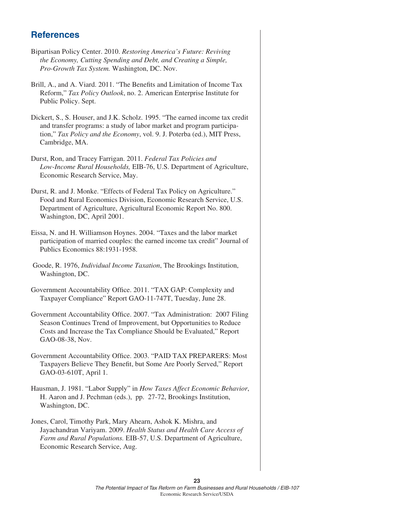## **References**

- Bipartisan Policy Center. 2010. *Restoring America's Future: Reviving the Economy, Cutting Spending and Debt, and Creating a Simple, Pro-Growth Tax System.* Washington, DC. Nov.
- Brill, A., and A. Viard. 2011. "The Benefits and Limitation of Income Tax Reform," *Tax Policy Outlook*, no. 2. American Enterprise Institute for Public Policy. Sept.
- Dickert, S., S. Houser, and J.K. Scholz. 1995. "The earned income tax credit and transfer programs: a study of labor market and program participation," *Tax Policy and the Economy*, vol. 9. J. Poterba (ed.), MIT Press, Cambridge, MA.
- Durst, Ron, and Tracey Farrigan. 2011. *Federal Tax Policies and Low-Income Rural Households,* EIB-76, U.S. Department of Agriculture, Economic Research Service, May.
- Durst, R. and J. Monke. "Effects of Federal Tax Policy on Agriculture." Food and Rural Economics Division, Economic Research Service, U.S. Department of Agriculture, Agricultural Economic Report No. 800. Washington, DC, April 2001.
- Eissa, N. and H. Williamson Hoynes. 2004. "Taxes and the labor market participation of married couples: the earned income tax credit" Journal of Publics Economics 88:1931-1958.
- Goode, R. 1976, *Individual Income Taxation*, The Brookings Institution, Washington, DC.
- Government Accountability Office. 2011. "TAX GAP: Complexity and Taxpayer Compliance" Report GAO-11-747T, Tuesday, June 28.
- Government Accountability Office. 2007. "Tax Administration: 2007 Filing Season Continues Trend of Improvement, but Opportunities to Reduce Costs and Increase the Tax Compliance Should be Evaluated," Report GAO-08-38, Nov.
- Government Accountability Office. 2003. "PAID TAX PREPARERS: Most Taxpayers Believe They Benefit, but Some Are Poorly Served," Report GAO-03-610T, April 1.
- Hausman, J. 1981. "Labor Supply" in *How Taxes Affect Economic Behavior*, H. Aaron and J. Pechman (eds.), pp. 27-72, Brookings Institution, Washington, DC.
- Jones, Carol, Timothy Park, Mary Ahearn, Ashok K. Mishra, and Jayachandran Variyam. 2009. *Health Status and Health Care Access of Farm and Rural Populations.* EIB-57, U.S. Department of Agriculture, Economic Research Service, Aug.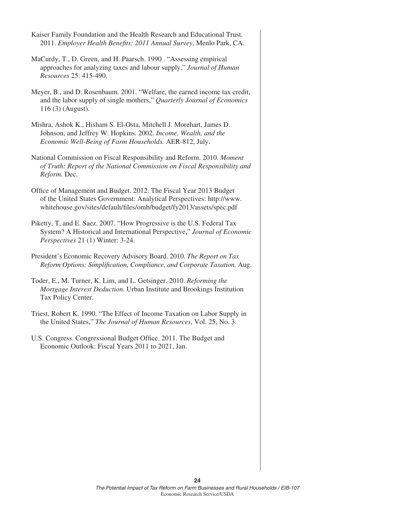| Kaiser Family Foundation and the Health Research and Educational Trust.<br>2011. Employer Health Benefits: 2011 Annual Survey, Menlo Park, CA.                                                                      |
|---------------------------------------------------------------------------------------------------------------------------------------------------------------------------------------------------------------------|
| MaCurdy, T., D. Green, and H. Paarsch. 1990. "Assessing empirical<br>approaches for analyzing taxes and labour supply," Journal of Human<br>Resources 25: 415-490.                                                  |
| Meyer, B., and D. Rosenbaum. 2001. "Welfare, the earned income tax credit,<br>and the labor supply of single mothers," Quarterly Journal of Economics<br>116 (3) (August).                                          |
| Mishra, Ashok K., Hisham S. El-Osta, Mitchell J. Morehart, James D.<br>Johnson, and Jeffrey W. Hopkins. 2002. Income, Wealth, and the<br>Economic Well-Being of Farm Households. AER-812, July.                     |
| National Commission on Fiscal Responsibility and Reform. 2010. Moment<br>of Truth: Report of the National Commission on Fiscal Responsibility and<br>Reform. Dec.                                                   |
| Office of Management and Budget. 2012. The Fiscal Year 2013 Budget<br>of the United States Government: Analytical Perspectives: http://www.<br>whitehouse.gov/sites/default/files/omb/budget/fy2013/assets/spec.pdf |
| Piketty, T, and E. Saez. 2007. "How Progressive is the U.S. Federal Tax<br>System? A Historical and International Perspective," Journal of Economic<br>Perspectives 21 (1) Winter: 3-24.                            |
| President's Economic Recovery Advisory Board. 2010. The Report on Tax<br>Reform Options: Simplification, Compliance, and Corporate Taxation. Aug.                                                                   |
| Toder, E., M. Turner, K. Lim, and L. Getsinger. 2010. Reforming the<br>Mortgage Interest Deduction. Urban Institute and Brookings Institution<br>Tax Policy Center.                                                 |
| Triest, Robert K. 1990. "The Effect of Income Taxation on Labor Supply in<br>the United States," The Journal of Human Resources, Vol. 25, No. 3.                                                                    |
| U.S. Congress. Congressional Budget Office. 2011. The Budget and<br>Economic Outlook: Fiscal Years 2011 to 2021, Jan.                                                                                               |
|                                                                                                                                                                                                                     |
|                                                                                                                                                                                                                     |